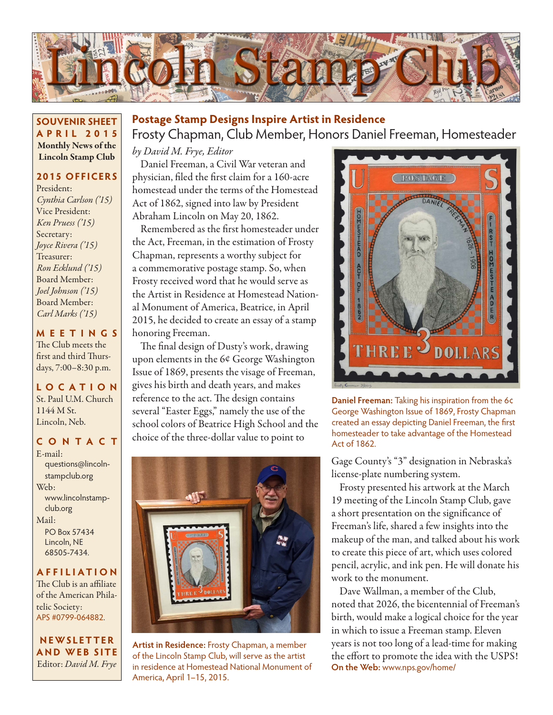

**SOUVENIR SHEET APRIL 2015** Monthly News of the Lincoln Stamp Club

#### **2015 OFFICERS**

President: *Cynthia Carlson ('15)* Vice President: *Ken Pruess ('15)* Secretary: *Joyce Rivera ('15)* Treasurer: *Ron Ecklund ('15)* Board Member: *Joel Johnson ('15)* Board Member: *Carl Marks ('15)*

#### **MEETINGS**

The Club meets the first and third Thursdays, 7:00–8:30 p.m.

**LO C ATI O N** St. Paul U.M. Church 1144 M St. Lincoln, Neb.

#### **CONTACT**

E-mail: questions@lincolnstampclub.org Web: www.lincolnstampclub.org Mail: PO Box 57434 Lincoln, NE 68505-7434.

#### **AFFI LIATI O N**

The Club is an affiliate of the American Philatelic Society: APS #0799-064882.

**NEWSLETTER AND WEB SITE** Editor: *David M. Frye*

## **Postage Stamp Designs Inspire Artist in Residence**

Frosty Chapman, Club Member, Honors Daniel Freeman, Homesteader

*by David M. Frye, Editor*

Daniel Freeman, a Civil War veteran and physician, filed the first claim for a 160-acre homestead under the terms of the Homestead Act of 1862, signed into law by President Abraham Lincoln on May 20, 1862.

Remembered as the first homesteader under the Act, Freeman, in the estimation of Frosty Chapman, represents a worthy subject for a commemorative postage stamp. So, when Frosty received word that he would serve as the Artist in Residence at Homestead National Monument of America, Beatrice, in April 2015, he decided to create an essay of a stamp honoring Freeman.

The final design of Dusty's work, drawing upon elements in the 6¢ George Washington Issue of 1869, presents the visage of Freeman, gives his birth and death years, and makes reference to the act. The design contains several "Easter Eggs," namely the use of the school colors of Beatrice High School and the choice of the three-dollar value to point to



**Artist in Residence:** Frosty Chapman, a member of the Lincoln Stamp Club, will serve as the artist in residence at Homestead National Monument of America, April 1–15, 2015.



**Daniel Freeman:** Taking his inspiration from the 6¢ George Washington Issue of 1869, Frosty Chapman created an essay depicting Daniel Freeman, the first homesteader to take advantage of the Homestead Act of 1862.

Gage County's "3" designation in Nebraska's license-plate numbering system.

Frosty presented his artwork at the March 19 meeting of the Lincoln Stamp Club, gave a short presentation on the significance of Freeman's life, shared a few insights into the makeup of the man, and talked about his work to create this piece of art, which uses colored pencil, acrylic, and ink pen. He will donate his work to the monument.

Dave Wallman, a member of the Club, noted that 2026, the bicentennial of Freeman's birth, would make a logical choice for the year in which to issue a Freeman stamp. Eleven years is not too long of a lead-time for making the effort to promote the idea with the USPS! **On the Web:** www.nps.gov/home/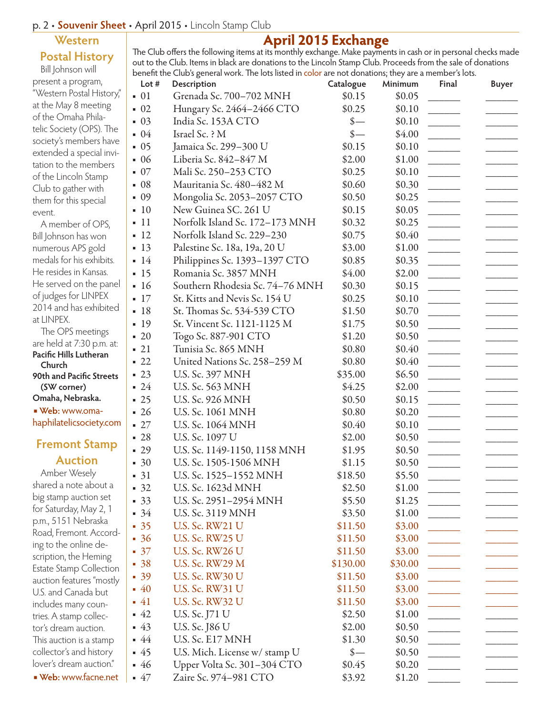### p. 2 • **Souvenir Sheet** • April 2015 • Lincoln Stamp Club

## **Western Postal History**

Bill Johnson will present a program, "Western Postal History," at the May 8 meeting of the Omaha Philatelic Society (OPS). The society's members have extended a special invitation to the members of the Lincoln Stamp Club to gather with them for this special event.

- A member of OPS, Bill Johnson has won numerous APS gold medals for his exhibits. He resides in Kansas. He served on the panel of judges for LINPEX 2014 and has exhibited at LINPFX
- The OPS meetings are held at 7:30 p.m. at: **Pacific Hills Lutheran Church 90th and Pacific Streets (SW corner) Omaha, Nebraska.**  ■ **Web:** www.omahaphilatelicsociety.com

## **Fremont Stamp Auction**

Amber Wesely shared a note about a big stamp auction set for Saturday, May 2, 1 p.m., 5151 Nebraska Road, Fremont. According to the online description, the Heming Estate Stamp Collection auction features "mostly U.S. and Canada but includes many countries. A stamp collector's dream auction. This auction is a stamp collector's and history lover's dream auction." ■ **Web:** www.facne.net

## **April 2015 Exchange**

The Club offers the following items at its monthly exchange. Make payments in cash or in personal checks made out to the Club. Items in black are donations to the Lincoln Stamp Club. Proceeds from the sale of donations benefit the Club's general work. The lots listed in color are not donations; they are a member's lots.

| Lot $#$ | Description                     | Catalogue                  | Minimum | Final | <b>Buyer</b> |
|---------|---------------------------------|----------------------------|---------|-------|--------------|
| 01<br>٠ | Grenada Sc. 700-702 MNH         | \$0.15                     | \$0.05  |       |              |
| 02      | Hungary Sc. 2464-2466 CTO       | \$0.25                     | \$0.10  |       |              |
| 03      | India Sc. 153A CTO              | $\frac{\ }{s-}$            | \$0.10  |       |              |
| 04      | Israel Sc. ? M                  | $\frac{\ }{s-}$            | \$4.00  |       |              |
| 05      | Jamaica Sc. 299-300 U           | \$0.15                     | \$0.10  |       |              |
| 06      | Liberia Sc. 842-847 M           | \$2.00                     | \$1.00  |       |              |
| 07      | Mali Sc. 250-253 CTO            | \$0.25                     | \$0.10  |       |              |
| 08      | Mauritania Sc. 480-482 M        | \$0.60                     | \$0.30  |       |              |
| 09      | Mongolia Sc. 2053-2057 CTO      | \$0.50                     | \$0.25  |       |              |
| 10      | New Guinea SC. 261 U            | \$0.15                     | \$0.05  |       |              |
| 11      | Norfolk Island Sc. 172-173 MNH  | \$0.32                     | \$0.25  |       |              |
| 12      | Norfolk Island Sc. 229–230      | \$0.75                     | \$0.40  |       |              |
| 13<br>٠ | Palestine Sc. 18a, 19a, 20 U    | \$3.00                     | \$1.00  |       |              |
| 14      | Philippines Sc. 1393-1397 CTO   | \$0.85                     | \$0.35  |       |              |
| 15      | Romania Sc. 3857 MNH            | \$4.00                     | \$2.00  |       |              |
| 16      | Southern Rhodesia Sc. 74-76 MNH | \$0.30                     | \$0.15  |       |              |
| 17      | St. Kitts and Nevis Sc. 154 U   | \$0.25                     | \$0.10  |       |              |
| 18      | St. Thomas Sc. 534-539 CTO      | \$1.50                     | \$0.70  |       |              |
| 19      | St. Vincent Sc. 1121-1125 M     | \$1.75                     | \$0.50  |       |              |
| 20      | Togo Sc. 887-901 CTO            | \$1.20                     | \$0.50  |       |              |
| 21      | Tunisia Sc. 865 MNH             | \$0.80                     | \$0.40  |       |              |
| 22      | United Nations Sc. 258-259 M    | \$0.80                     | \$0.40  |       |              |
| 23      | U.S. Sc. 397 MNH                | \$35.00                    | \$6.50  |       |              |
| 24      | U.S. Sc. 563 MNH                | \$4.25                     | \$2.00  |       |              |
| 25      | U.S. Sc. 926 MNH                | \$0.50                     | \$0.15  |       |              |
| 26      | U.S. Sc. 1061 MNH               | \$0.80                     | \$0.20  |       |              |
| 27      | U.S. Sc. 1064 MNH               | \$0.40                     | \$0.10  |       |              |
| 28      | U.S. Sc. 1097 U                 | \$2.00                     | \$0.50  |       |              |
| 29      | U.S. Sc. 1149-1150, 1158 MNH    | \$1.95                     | \$0.50  |       |              |
| 30      | U.S. Sc. 1505-1506 MNH          | \$1.15                     | \$0.50  |       |              |
| $-31$   | U.S. Sc. 1525–1552 MNH          | \$18.50                    | \$5.50  |       |              |
| $-32$   | U.S. Sc. 1623d MNH              | \$2.50                     | \$1.00  |       |              |
| $-33$   | U.S. Sc. 2951-2954 MNH          | \$5.50                     | \$1.25  |       |              |
| $-34$   | U.S. Sc. 3119 MNH               | \$3.50                     | \$1.00  |       |              |
| 35      | U.S. Sc. RW21 U                 | \$11.50                    | \$3.00  |       |              |
| 36      | <b>U.S. Sc. RW25 U</b>          | \$11.50                    | \$3.00  |       |              |
| 37      | <b>U.S. Sc. RW26 U</b>          | \$11.50                    | \$3.00  |       |              |
| 38      | <b>U.S. Sc. RW29 M</b>          | \$130.00                   | \$30.00 |       |              |
| 39      | <b>U.S. Sc. RW30 U</b>          | \$11.50                    | \$3.00  |       |              |
| $-40$   | <b>U.S. Sc. RW31 U</b>          | \$11.50                    | \$3.00  |       |              |
| 41      | U.S. Sc. RW32 U                 | \$11.50                    | \$3.00  |       |              |
| 42      | U.S. Sc. J71 U                  | \$2.50                     | \$1.00  |       |              |
| $-43$   | U.S. Sc. J86 U                  | \$2.00                     | \$0.50  |       |              |
| $-44$   | U.S. Sc. E17 MNH                | \$1.30                     | \$0.50  |       |              |
| 45      | U.S. Mich. License w/ stamp U   | $\frac{\text{S}}{\text{}}$ | \$0.50  |       |              |
| $-46$   | Upper Volta Sc. 301-304 CTO     | \$0.45                     | \$0.20  |       |              |
| $-47$   | Zaire Sc. 974-981 CTO           | \$3.92                     | \$1.20  |       |              |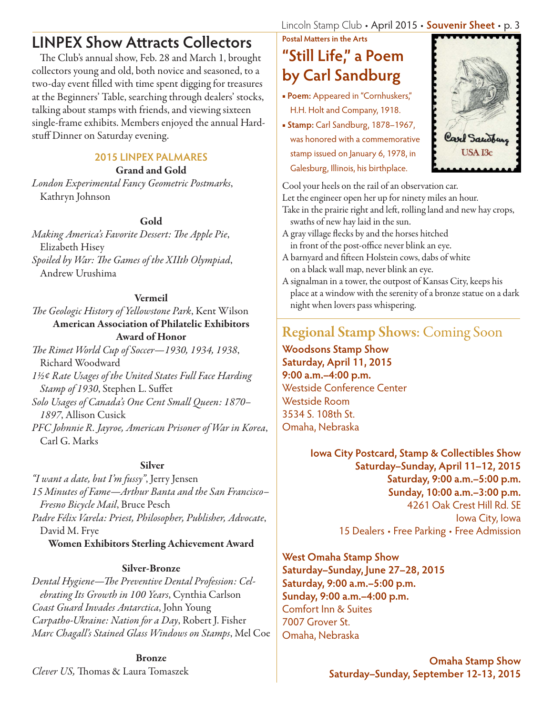**LINPEX Show Attracts Collectors**

The Club's annual show, Feb. 28 and March 1, brought collectors young and old, both novice and seasoned, to a two-day event filled with time spent digging for treasures at the Beginners' Table, searching through dealers' stocks, talking about stamps with friends, and viewing sixteen single-frame exhibits. Members enjoyed the annual Hardstuff Dinner on Saturday evening.

## **2015 LINPEX PALMARES**

Grand and Gold

*London Experimental Fancy Geometric Postmarks*, Kathryn Johnson

## Gold

*Making America's Favorite Dessert: The Apple Pie*, Elizabeth Hisey *Spoiled by War: The Games of the XIIth Olympiad*, Andrew Urushima

### Vermeil

*The Geologic History of Yellowstone Park*, Kent Wilson American Association of Philatelic Exhibitors Award of Honor *The Rimet World Cup of Soccer—1930, 1934, 1938*,

Richard Woodward *1½¢ Rate Usages of the United States Full Face Harding Stamp of 1930*, Stephen L. Suffet *Solo Usages of Canada's One Cent Small Queen: 1870– 1897*, Allison Cusick *PFC Johnnie R. Jayroe, American Prisoner of War in Korea*, Carl G. Marks

### Silver

*"I want a date, but I'm fussy"*, Jerry Jensen *15 Minutes of Fame—Arthur Banta and the San Francisco– Fresno Bicycle Mail*, Bruce Pesch *Padre Félix Varela: Priest, Philosopher, Publisher, Advocate*, David M. Frye Women Exhibitors Sterling Achievement Award

### Silver-Bronze

*Dental Hygiene—The Preventive Dental Profession: Celebrating Its Growth in 100 Years*, Cynthia Carlson *Coast Guard Invades Antarctica*, John Young *Carpatho-Ukraine: Nation for a Day*, Robert J. Fisher *Marc Chagall's Stained Glass Windows on Stamps*, Mel Coe

Bronze *Clever US,* Thomas & Laura Tomaszek Lincoln Stamp Club • April 2015 • **Souvenir Sheet** • p. 3

# **Postal Matters in the Arts "Still Life," a Poem by Carl Sandburg**

- **Poem:** Appeared in "Cornhuskers," H.H. Holt and Company, 1918.
- **Stamp:** Carl Sandburg, 1878–1967, was honored with a commemorative stamp issued on January 6, 1978, in Galesburg, Illinois, his birthplace.



Cool your heels on the rail of an observation car.

Let the engineer open her up for ninety miles an hour.

- Take in the prairie right and left, rolling land and new hay crops, swaths of new hay laid in the sun.
- A gray village flecks by and the horses hitched in front of the post-office never blink an eye.
- A barnyard and fifteen Holstein cows, dabs of white on a black wall map, never blink an eye.
- A signalman in a tower, the outpost of Kansas City, keeps his place at a window with the serenity of a bronze statue on a dark night when lovers pass whispering.

# Regional Stamp Shows: Coming Soon

**Woodsons Stamp Show Saturday, April 11, 2015 9:00 a.m.–4:00 p.m.** Westside Conference Center Westside Room 3534 S. 108th St. Omaha, Nebraska

> **Iowa City Postcard, Stamp & Collectibles Show Saturday–Sunday, April 11–12, 2015 Saturday, 9:00 a.m.–5:00 p.m. Sunday, 10:00 a.m.–3:00 p.m.** 4261 Oak Crest Hill Rd. SE Iowa City, Iowa 15 Dealers • Free Parking • Free Admission

**West Omaha Stamp Show Saturday–Sunday, June 27–28, 2015 Saturday, 9:00 a.m.–5:00 p.m. Sunday, 9:00 a.m.–4:00 p.m.** Comfort Inn & Suites 7007 Grover St. Omaha, Nebraska